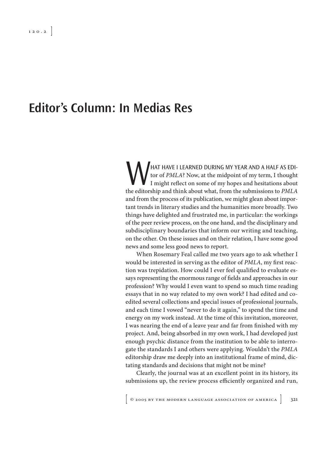## **Editor's Column: In Medias Res**

WHAT HAVE I LEARNED DURING MY YEAR AND A HALF AS EDITOR OF PMLA? Now, at the midpoint of my term, I thought I might reflect on some of my hopes and hesitations about the editorship and think about what, from the submission tor of *PMLA*? Now, at the midpoint of my term, I thought I might reflect on some of my hopes and hesitations about the editorship and think about what, from the submissions to *PMLA* and from the process of its publication, we might glean about important trends in literary studies and the humanities more broadly. Two things have delighted and frustrated me, in particular: the workings of the peer review process, on the one hand, and the disciplinary and subdisciplinary boundaries that inform our writing and teaching, on the other. On these issues and on their relation, I have some good news and some less good news to report.

When Rosemary Feal called me two years ago to ask whether I would be interested in serving as the editor of *PMLA*, my first reaction was trepidation. How could I ever feel qualified to evaluate essays representing the enormous range of fields and approaches in our profession? Why would I even want to spend so much time reading essays that in no way related to my own work? I had edited and coedited several collections and special issues of professional journals, and each time I vowed "never to do it again," to spend the time and energy on my work instead. At the time of this invitation, moreover, I was nearing the end of a leave year and far from finished with my project. And, being absorbed in my own work, I had developed just enough psychic distance from the institution to be able to interrogate the standards I and others were applying. Wouldn't the *PMLA* editorship draw me deeply into an institutional frame of mind, dictating standards and decisions that might not be mine?

Clearly, the journal was at an excellent point in its history, its submissions up, the review process efficiently organized and run,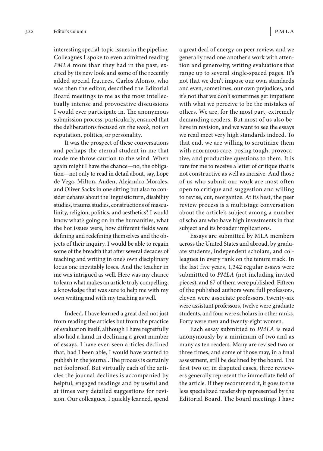interesting special-topic issues in the pipeline. Colleagues I spoke to even admitted reading *PMLA* more than they had in the past, excited by its new look and some of the recently added special features. Carlos Alonso, who was then the editor, described the Editorial Board meetings to me as the most intellectually intense and provocative discussions I would ever participate in. The anonymous submission process, particularly, ensured that the deliberations focused on the *work*, not on reputation, politics, or personality.

It was the prospect of these conversations and perhaps the eternal student in me that made me throw caution to the wind. When again might I have the chance—no, the obligation—not only to read in detail about, say, Lope de Vega, Milton, Auden, Alejandro Morales, and Oliver Sacks in one sitting but also to consider debates about the linguistic turn, disability studies, trauma studies, constructions of masculinity, religion, politics, and aesthetics? I would know what's going on in the humanities, what the hot issues were, how different fields were defining and redefining themselves and the objects of their inquiry. I would be able to regain some of the breadth that after several decades of teaching and writing in one's own disciplinary locus one inevitably loses. And the teacher in me was intrigued as well. Here was my chance to learn what makes an article truly compelling, a knowledge that was sure to help me with my own writing and with my teaching as well.

Indeed, I have learned a great deal not just from reading the articles but from the practice of evaluation itself, although I have regretfully also had a hand in declining a great number of essays. I have even seen articles declined that, had I been able, I would have wanted to publish in the journal. The process is certainly not foolproof. But virtually each of the articles the journal declines is accompanied by helpful, engaged readings and by useful and at times very detailed suggestions for revision. Our colleagues, I quickly learned, spend a great deal of energy on peer review, and we generally read one another's work with attention and generosity, writing evaluations that range up to several single-spaced pages. It's not that we don't impose our own standards and even, sometimes, our own prejudices, and it's not that we don't sometimes get impatient with what we perceive to be the mistakes of others. We are, for the most part, extremely demanding readers. But most of us also believe in revision, and we want to see the essays we read meet very high standards indeed. To that end, we are willing to scrutinize them with enormous care, posing tough, provocative, and productive questions to them. It is rare for me to receive a letter of critique that is not constructive as well as incisive. And those of us who submit our work are most often open to critique and suggestion and willing to revise, cut, reorganize. At its best, the peer review process is a multistage conversation about the article's subject among a number of scholars who have high investments in that subject and its broader implications.

Essays are submitted by MLA members across the United States and abroad, by graduate students, independent scholars, and colleagues in every rank on the tenure track. In the last five years, 1,342 regular essays were submittted to *PMLA* (not including invited pieces), and 67 of them were published. Fifteen of the published authors were full professors, eleven were associate professors, twenty-six were assistant professors, twelve were graduate students, and four were scholars in other ranks. Forty were men and twenty-eight women.

Each essay submitted to *PMLA* is read anonymously by a minimum of two and as many as ten readers. Many are revised two or three times, and some of those may, in a final assessment, still be declined by the board. The first two or, in disputed cases, three reviewers generally represent the immediate field of the article. If they recommend it, it goes to the less specialized readership represented by the Editorial Board. The board meetings I have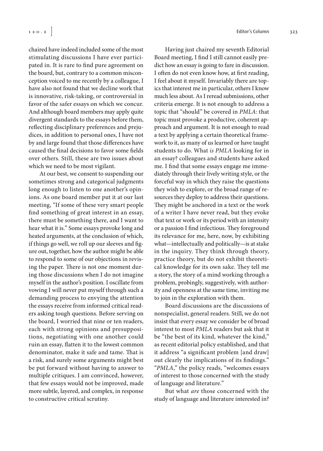chaired have indeed included some of the most stimulating discussions I have ever participated in. It is rare to find pure agreement on the board, but, contrary to a common misconception voiced to me recently by a colleague, I have also not found that we decline work that is innovative, risk-taking, or controversial in favor of the safer essays on which we concur. And although board members may apply quite divergent standards to the essays before them, reflecting disciplinary preferences and prejudices, in addition to personal ones, I have not by and large found that those differences have caused the final decisions to favor some fields over others. Still, these are two issues about which we need to be most vigilant.

At our best, we consent to suspending our sometimes strong and categorical judgments long enough to listen to one another's opinions. As one board member put it at our last meeting, "If some of these very smart people find something of great interest in an essay, there must be something there, and I want to hear what it is." Some essays provoke long and heated arguments, at the conclusion of which, if things go well, we roll up our sleeves and figure out, together, how the author might be able to respond to some of our objections in revising the paper. There is not one moment during those discussions when I do not imagine myself in the author's position. I oscillate from vowing I will never put myself through such a demanding process to envying the attention the essays receive from informed critical readers asking tough questions. Before serving on the board, I worried that nine or ten readers, each with strong opinions and presuppositions, negotiating with one another could ruin an essay, flatten it to the lowest common denominator, make it safe and tame. That is a risk, and surely some arguments might best be put forward without having to answer to multiple critiques. I am convinced, however, that few essays would not be improved, made more subtle, layered, and complex, in response to constructive critical scrutiny.

Having just chaired my seventh Editorial Board meeting, I find I still cannot easily predict how an essay is going to fare in discussion. I often do not even know how, at first reading, I feel about it myself. Invariably there are topics that interest me in particular, others I know much less about. As I reread submissions, other criteria emerge. It is not enough to address a topic that "should" be covered in *PMLA*: that topic must provoke a productive, coherent approach and argument. It is not enough to read a text by applying a certain theoretical framework to it, as many of us learned or have taught students to do. What *is PMLA* looking for in an essay? colleagues and students have asked me. I find that some essays engage me immediately through their lively writing style, or the forceful way in which they raise the questions they wish to explore, or the broad range of resources they deploy to address their questions. They might be anchored in a text or the work of a writer I have never read, but they evoke that text or work or its period with an intensity or a passion I find infectious. They foreground its relevance for me, here, now, by exhibiting what—intellectually and politically—is at stake in the inquiry. They think through theory, practice theory, but do not exhibit theoretical knowledge for its own sake. They tell me a story, the story of a mind working through a problem, probingly, suggestively, with authority and openness at the same time, inviting me to join in the exploration with them.

Board discussions are the discussions of nonspecialist, general readers. Still, we do not insist that every essay we consider be of broad interest to most *PMLA* readers but ask that it be "the best of its kind, whatever the kind," as recent editorial policy established, and that it address "a significant problem [and draw] out clearly the implications of its findings." "*PMLA*," the policy reads, "welcomes essays of interest to those concerned with the study of language and literature."

But what *are* those concerned with the study of language and literature interested in?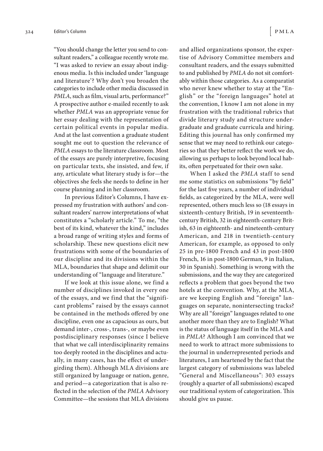"You should change the letter you send to consultant readers," a colleague recently wrote me. "I was asked to review an essay about indigenous media. Is this included under 'language and literature'? Why don't you broaden the categories to include other media discussed in *PMLA*, such as film, visual arts, performance?" A prospective author e-mailed recently to ask whether *PMLA* was an appropriate venue for her essay dealing with the representation of certain political events in popular media. And at the last convention a graduate student sought me out to question the relevance of *PMLA* essays to the literature classroom. Most of the essays are purely interpretive, focusing on particular texts, she insisted, and few, if any, articulate what literary study is for—the objectives she feels she needs to define in her course planning and in her classroom.

In previous Editor's Columns, I have expressed my frustration with authors' and consultant readers' narrow interpretations of what constitutes a "scholarly article." To me, "the best of its kind, whatever the kind," includes a broad range of writing styles and forms of scholarship. These new questions elicit new frustrations with some of the boundaries of our discipline and its divisions within the MLA, boundaries that shape and delimit our understanding of "language and literature."

If we look at this issue alone, we find a number of disciplines invoked in every one of the essays, and we find that the "significant problems" raised by the essays cannot be contained in the methods offered by one discipline, even one as capacious as ours, but demand inter-, cross-, trans-, or maybe even postdisciplinary responses (since I believe that what we call interdisciplinarity remains too deeply rooted in the disciplines and actually, in many cases, has the effect of undergirding them). Although MLA divisions are still organized by language or nation, genre, and period—a categorization that is also reflected in the selection of the *PMLA* Advisory Committee—the sessions that MLA divisions and allied organizations sponsor, the expertise of Advisory Committee members and consultant readers, and the essays submitted to and published by *PMLA* do not sit comfortably within those categories. As a comparatist who never knew whether to stay at the "English" or the "foreign languages" hotel at the convention, I know I am not alone in my frustration with the traditional rubrics that divide literary study and structure undergraduate and graduate curricula and hiring. Editing this journal has only confirmed my sense that we may need to rethink our categories so that they better reflect the work we do, allowing us perhaps to look beyond local habits, often perpetuated for their own sake.

When I asked the *PMLA* staff to send me some statistics on submissions "by field" for the last five years, a number of individual fields, as categorized by the MLA, were well represented, others much less so (18 essays in sixteenth-century British, 19 in seventeenthcentury British, 32 in eighteenth-century British, 63 in eighteenth- and nineteenth-century American, and 218 in twentieth-century American, for example, as opposed to only 25 in pre-1800 French and 43 in post-1800 French, 16 in post-1800 German, 9 in Italian, 30 in Spanish). Something is wrong with the submissions, and the way they are categorized reflects a problem that goes beyond the two hotels at the convention. Why, at the MLA, are we keeping English and "foreign" languages on separate, nonintersecting tracks? Why are all "foreign" languages related to one another more than they are to English? What is the status of language itself in the MLA and in *PMLA*? Although I am convinced that we need to work to attract more submissions to the journal in underrepresented periods and literatures, I am heartened by the fact that the largest category of submissions was labeled "General and Miscellaneous": 303 essays (roughly a quarter of all submissions) escaped our traditional system of categorization. This should give us pause.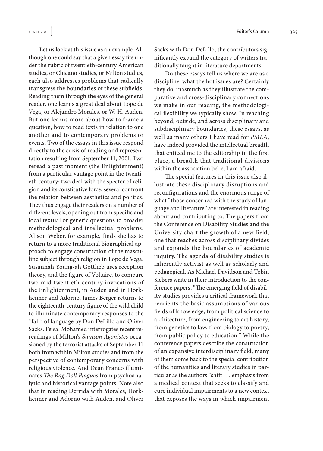Let us look at this issue as an example. Although one could say that a given essay fits under the rubric of twentieth-century American studies, or Chicano studies, or Milton studies, each also addresses problems that radically transgress the boundaries of these subfields. Reading them through the eyes of the general reader, one learns a great deal about Lope de Vega, or Alejandro Morales, or W. H. Auden. But one learns more about how to frame a question, how to read texts in relation to one another and to contemporary problems or events. Two of the essays in this issue respond directly to the crisis of reading and representation resulting from September 11, 2001. Two reread a past moment (the Enlightenment) from a particular vantage point in the twentieth century; two deal with the specter of religion and its constitutive force; several confront the relation between aesthetics and politics. They thus engage their readers on a number of different levels, opening out from specific and local textual or generic questions to broader methodological and intellectual problems. Alison Weber, for example, finds she has to return to a more traditional biographical approach to engage construction of the masculine subject through religion in Lope de Vega. Susannah Young-ah Gottlieb uses reception theory, and the figure of Voltaire, to compare two mid-twentieth-century invocations of the Enlightenment, in Auden and in Horkheimer and Adorno. James Berger returns to the eighteenth-century figure of the wild child to illuminate contemporary responses to the "fall" of language by Don DeLillo and Oliver Sacks. Feisal Mohamed interrogates recent rereadings of Milton's *Samson Agonistes* occasioned by the terrorist attacks of September 11 both from within Milton studies and from the perspective of contemporary concerns with religious violence. And Dean Franco illuminates *The Rag Doll Plagues* from psychoanalytic and historical vantage points. Note also that in reading Derrida with Morales, Horkheimer and Adorno with Auden, and Oliver

Sacks with Don DeLillo, the contributors significantly expand the category of writers traditionally taught in literature departments.

Do these essays tell us where we are as a discipline, what the hot issues are? Certainly they do, inasmuch as they illustrate the comparative and cross-disciplinary connections we make in our reading, the methodological flexibility we typically show. In reaching beyond, outside, and across disciplinary and subdisciplinary boundaries, these essays, as well as many others I have read for *PMLA*, have indeed provided the intellectual breadth that enticed me to the editorship in the first place, a breadth that traditional divisions within the association belie, I am afraid.

The special features in this issue also illustrate these disciplinary disruptions and reconfigurations and the enormous range of what "those concerned with the study of language and literature" are interested in reading about and contributing to. The papers from the Conference on Disability Studies and the University chart the growth of a new field, one that reaches across disciplinary divides and expands the boundaries of academic inquiry. The agenda of disability studies is inherently activist as well as scholarly and pedagogical. As Michael Davidson and Tobin Siebers write in their introduction to the conference papers, "The emerging field of disability studies provides a critical framework that reorients the basic assumptions of various fields of knowledge, from political science to architecture, from engineering to art history, from genetics to law, from biology to poetry, from public policy to education." While the conference papers describe the construction of an expansive interdisciplinary field, many of them come back to the special contribution of the humanities and literary studies in particular as the authors "shift . . . emphasis from a medical context that seeks to classify and cure individual impairments to a new context that exposes the ways in which impairment